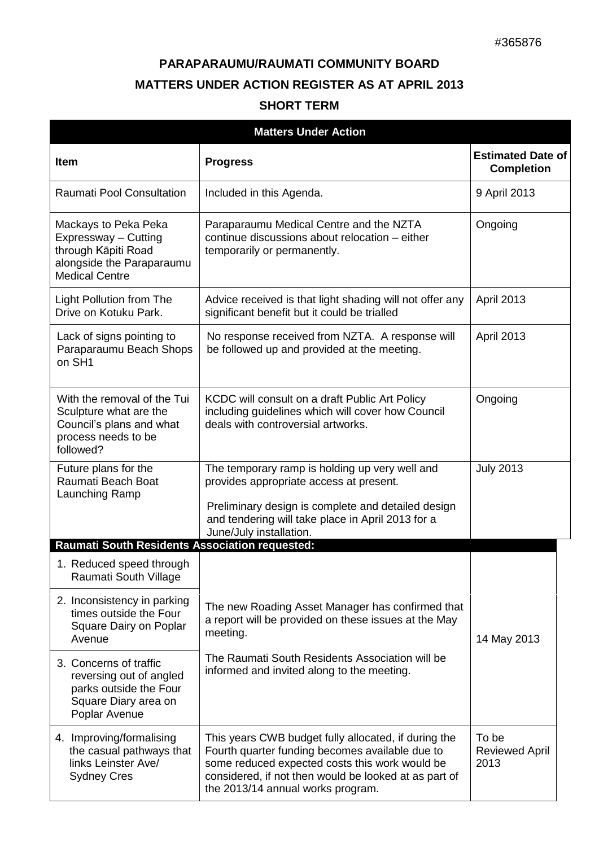## **PARAPARAUMU/RAUMATI COMMUNITY BOARD MATTERS UNDER ACTION REGISTER AS AT APRIL 2013**

| <b>SHORT TERM</b> |  |
|-------------------|--|
|-------------------|--|

| <b>Matters Under Action</b>                                                                                                                                                                                                                           |                                                                                                                                                                                                                                                         |                                               |  |  |
|-------------------------------------------------------------------------------------------------------------------------------------------------------------------------------------------------------------------------------------------------------|---------------------------------------------------------------------------------------------------------------------------------------------------------------------------------------------------------------------------------------------------------|-----------------------------------------------|--|--|
| <b>Item</b>                                                                                                                                                                                                                                           | <b>Progress</b>                                                                                                                                                                                                                                         | <b>Estimated Date of</b><br><b>Completion</b> |  |  |
| <b>Raumati Pool Consultation</b>                                                                                                                                                                                                                      | Included in this Agenda.                                                                                                                                                                                                                                | 9 April 2013                                  |  |  |
| Paraparaumu Medical Centre and the NZTA<br>Mackays to Peka Peka<br>continue discussions about relocation - either<br>Expressway - Cutting<br>through Kāpiti Road<br>temporarily or permanently.<br>alongside the Paraparaumu<br><b>Medical Centre</b> |                                                                                                                                                                                                                                                         | Ongoing                                       |  |  |
| <b>Light Pollution from The</b><br>Drive on Kotuku Park.                                                                                                                                                                                              | Advice received is that light shading will not offer any<br>significant benefit but it could be trialled                                                                                                                                                | April 2013                                    |  |  |
| Lack of signs pointing to<br>Paraparaumu Beach Shops<br>on SH1                                                                                                                                                                                        | No response received from NZTA. A response will<br>be followed up and provided at the meeting.                                                                                                                                                          | <b>April 2013</b>                             |  |  |
| With the removal of the Tui<br>Sculpture what are the<br>Council's plans and what<br>process needs to be<br>followed?                                                                                                                                 | KCDC will consult on a draft Public Art Policy<br>including guidelines which will cover how Council<br>deals with controversial artworks.                                                                                                               | Ongoing                                       |  |  |
| Future plans for the<br>Raumati Beach Boat<br>Launching Ramp                                                                                                                                                                                          | The temporary ramp is holding up very well and<br>provides appropriate access at present.<br>Preliminary design is complete and detailed design<br>and tendering will take place in April 2013 for a<br>June/July installation.                         | <b>July 2013</b>                              |  |  |
| <b>Raumati South Residents Association requested:</b>                                                                                                                                                                                                 |                                                                                                                                                                                                                                                         |                                               |  |  |
| 1. Reduced speed through<br>Raumati South Village                                                                                                                                                                                                     |                                                                                                                                                                                                                                                         |                                               |  |  |
| 2. Inconsistency in parking<br>times outside the Four<br>Square Dairy on Poplar<br>Avenue                                                                                                                                                             | The new Roading Asset Manager has confirmed that<br>a report will be provided on these issues at the May<br>meeting.                                                                                                                                    | 14 May 2013                                   |  |  |
| 3. Concerns of traffic<br>reversing out of angled<br>parks outside the Four<br>Square Diary area on<br>Poplar Avenue                                                                                                                                  | The Raumati South Residents Association will be<br>informed and invited along to the meeting.                                                                                                                                                           |                                               |  |  |
| 4. Improving/formalising<br>the casual pathways that<br>links Leinster Ave/<br><b>Sydney Cres</b>                                                                                                                                                     | This years CWB budget fully allocated, if during the<br>Fourth quarter funding becomes available due to<br>some reduced expected costs this work would be<br>considered, if not then would be looked at as part of<br>the 2013/14 annual works program. | To be<br><b>Reviewed April</b><br>2013        |  |  |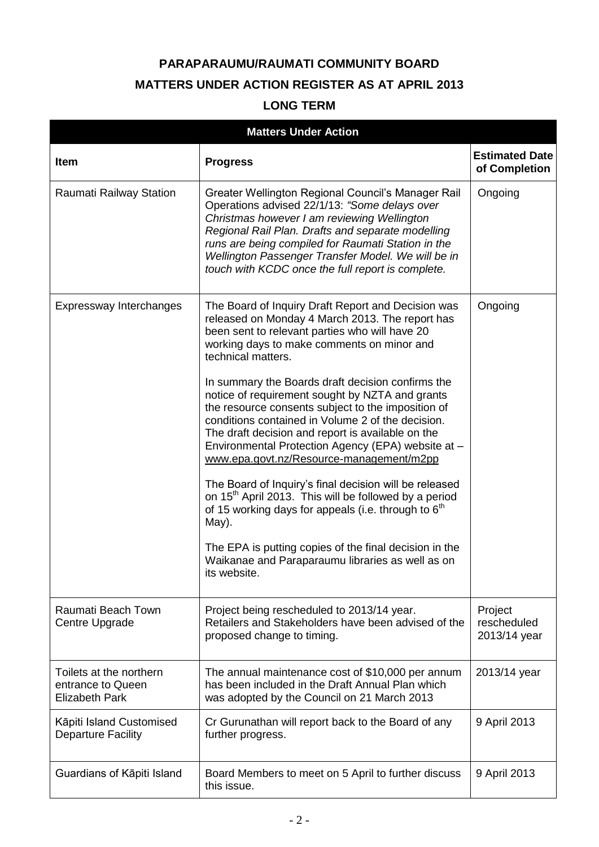## **PARAPARAUMU/RAUMATI COMMUNITY BOARD MATTERS UNDER ACTION REGISTER AS AT APRIL 2013**

## **LONG TERM**

| <b>Matters Under Action</b>                                           |                                                                                                                                                                                                                                                                                                                                                                          |                                        |  |
|-----------------------------------------------------------------------|--------------------------------------------------------------------------------------------------------------------------------------------------------------------------------------------------------------------------------------------------------------------------------------------------------------------------------------------------------------------------|----------------------------------------|--|
| Item                                                                  | <b>Progress</b>                                                                                                                                                                                                                                                                                                                                                          | <b>Estimated Date</b><br>of Completion |  |
| Raumati Railway Station                                               | Greater Wellington Regional Council's Manager Rail<br>Operations advised 22/1/13: "Some delays over<br>Christmas however I am reviewing Wellington<br>Regional Rail Plan. Drafts and separate modelling<br>runs are being compiled for Raumati Station in the<br>Wellington Passenger Transfer Model. We will be in<br>touch with KCDC once the full report is complete. | Ongoing                                |  |
| Expressway Interchanges                                               | The Board of Inquiry Draft Report and Decision was<br>released on Monday 4 March 2013. The report has<br>been sent to relevant parties who will have 20<br>working days to make comments on minor and<br>technical matters.                                                                                                                                              | Ongoing                                |  |
|                                                                       | In summary the Boards draft decision confirms the<br>notice of requirement sought by NZTA and grants<br>the resource consents subject to the imposition of<br>conditions contained in Volume 2 of the decision.<br>The draft decision and report is available on the<br>Environmental Protection Agency (EPA) website at -<br>www.epa.govt.nz/Resource-management/m2pp   |                                        |  |
|                                                                       | The Board of Inquiry's final decision will be released<br>on 15 <sup>th</sup> April 2013. This will be followed by a period<br>of 15 working days for appeals (i.e. through to $6th$<br>May).                                                                                                                                                                            |                                        |  |
|                                                                       | The EPA is putting copies of the final decision in the<br>Waikanae and Paraparaumu libraries as well as on<br>its website.                                                                                                                                                                                                                                               |                                        |  |
| Raumati Beach Town<br>Centre Upgrade                                  | Project being rescheduled to 2013/14 year.<br>Retailers and Stakeholders have been advised of the<br>proposed change to timing.                                                                                                                                                                                                                                          | Project<br>rescheduled<br>2013/14 year |  |
| Toilets at the northern<br>entrance to Queen<br><b>Elizabeth Park</b> | The annual maintenance cost of \$10,000 per annum<br>has been included in the Draft Annual Plan which<br>was adopted by the Council on 21 March 2013                                                                                                                                                                                                                     | 2013/14 year                           |  |
| Kāpiti Island Customised<br><b>Departure Facility</b>                 | Cr Gurunathan will report back to the Board of any<br>further progress.                                                                                                                                                                                                                                                                                                  | 9 April 2013                           |  |
| Guardians of Kāpiti Island                                            | Board Members to meet on 5 April to further discuss<br>this issue.                                                                                                                                                                                                                                                                                                       | 9 April 2013                           |  |